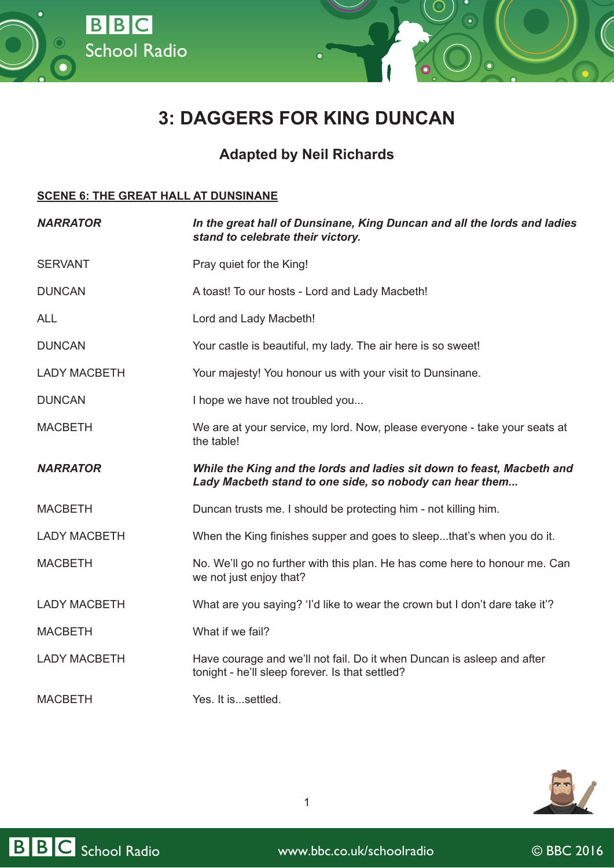

## **Adapted by Neil Richards**

## **SCENE 6: THE GREAT HALL AT DUNSINANE**

School Radio

BBC

| <b>NARRATOR</b>     | In the great hall of Dunsinane, King Duncan and all the lords and ladies<br>stand to celebrate their victory.                     |
|---------------------|-----------------------------------------------------------------------------------------------------------------------------------|
| <b>SERVANT</b>      | Pray quiet for the King!                                                                                                          |
| <b>DUNCAN</b>       | A toast! To our hosts - Lord and Lady Macbeth!                                                                                    |
| <b>ALL</b>          | Lord and Lady Macbeth!                                                                                                            |
| <b>DUNCAN</b>       | Your castle is beautiful, my lady. The air here is so sweet!                                                                      |
| <b>LADY MACBETH</b> | Your majesty! You honour us with your visit to Dunsinane.                                                                         |
| <b>DUNCAN</b>       | I hope we have not troubled you                                                                                                   |
| <b>MACBETH</b>      | We are at your service, my lord. Now, please everyone - take your seats at<br>the table!                                          |
| <b>NARRATOR</b>     | While the King and the lords and ladies sit down to feast, Macbeth and<br>Lady Macbeth stand to one side, so nobody can hear them |
| <b>MACBETH</b>      | Duncan trusts me. I should be protecting him - not killing him.                                                                   |
| <b>LADY MACBETH</b> | When the King finishes supper and goes to sleepthat's when you do it.                                                             |
| <b>MACBETH</b>      | No. We'll go no further with this plan. He has come here to honour me. Can<br>we not just enjoy that?                             |
| <b>LADY MACBETH</b> | What are you saying? 'I'd like to wear the crown but I don't dare take it'?                                                       |
| <b>MACBETH</b>      | What if we fail?                                                                                                                  |
| <b>LADY MACBETH</b> | Have courage and we'll not fail. Do it when Duncan is asleep and after<br>tonight - he'll sleep forever. Is that settled?         |
| <b>MACBETH</b>      | Yes. It issettled.                                                                                                                |



1

BBC School Radio www.bbc.co.uk/schoolradio © BBC 2016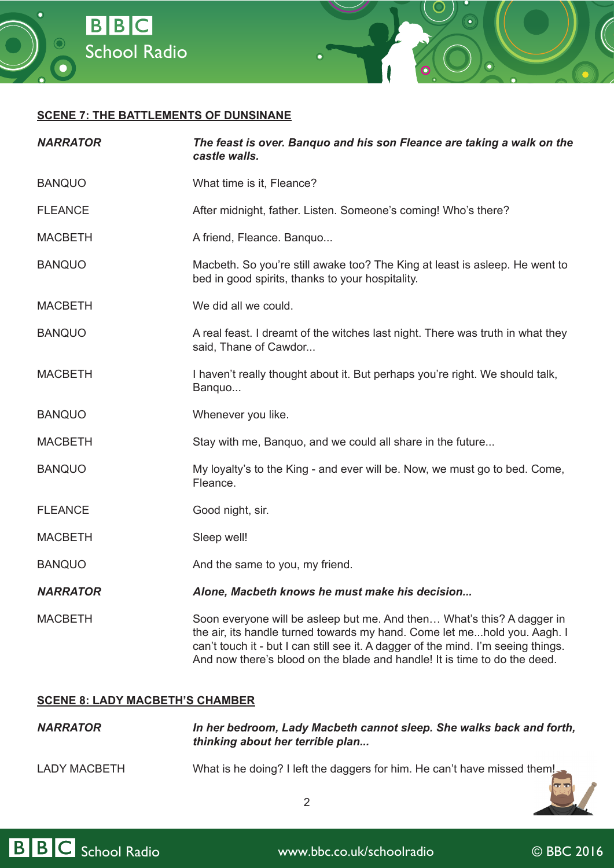



| <b>NARRATOR</b> | The feast is over. Banquo and his son Fleance are taking a walk on the<br>castle walls.                                                                                                                                                                                                                              |
|-----------------|----------------------------------------------------------------------------------------------------------------------------------------------------------------------------------------------------------------------------------------------------------------------------------------------------------------------|
| <b>BANQUO</b>   | What time is it, Fleance?                                                                                                                                                                                                                                                                                            |
| <b>FLEANCE</b>  | After midnight, father. Listen. Someone's coming! Who's there?                                                                                                                                                                                                                                                       |
| <b>MACBETH</b>  | A friend, Fleance. Banquo                                                                                                                                                                                                                                                                                            |
| <b>BANQUO</b>   | Macbeth. So you're still awake too? The King at least is asleep. He went to<br>bed in good spirits, thanks to your hospitality.                                                                                                                                                                                      |
| <b>MACBETH</b>  | We did all we could.                                                                                                                                                                                                                                                                                                 |
| <b>BANQUO</b>   | A real feast. I dreamt of the witches last night. There was truth in what they<br>said, Thane of Cawdor                                                                                                                                                                                                              |
| <b>MACBETH</b>  | I haven't really thought about it. But perhaps you're right. We should talk,<br>Banquo                                                                                                                                                                                                                               |
| <b>BANQUO</b>   | Whenever you like.                                                                                                                                                                                                                                                                                                   |
| <b>MACBETH</b>  | Stay with me, Banquo, and we could all share in the future                                                                                                                                                                                                                                                           |
| <b>BANQUO</b>   | My loyalty's to the King - and ever will be. Now, we must go to bed. Come,<br>Fleance.                                                                                                                                                                                                                               |
| <b>FLEANCE</b>  | Good night, sir.                                                                                                                                                                                                                                                                                                     |
| <b>MACBETH</b>  | Sleep well!                                                                                                                                                                                                                                                                                                          |
| <b>BANQUO</b>   | And the same to you, my friend.                                                                                                                                                                                                                                                                                      |
| <b>NARRATOR</b> | Alone, Macbeth knows he must make his decision                                                                                                                                                                                                                                                                       |
| <b>MACBETH</b>  | Soon everyone will be asleep but me. And then What's this? A dagger in<br>the air, its handle turned towards my hand. Come let mehold you. Aagh. I<br>can't touch it - but I can still see it. A dagger of the mind. I'm seeing things.<br>And now there's blood on the blade and handle! It is time to do the deed. |

## **SCENE 8: LADY MACBETH'S CHAMBER**

| <b>NARRATOR</b> | In her bedroom, Lady Macbeth cannot sleep. She walks back and forth,<br>thinking about her terrible plan |
|-----------------|----------------------------------------------------------------------------------------------------------|
| LADY MACBETH    | What is he doing? I left the daggers for him. He can't have missed them!                                 |